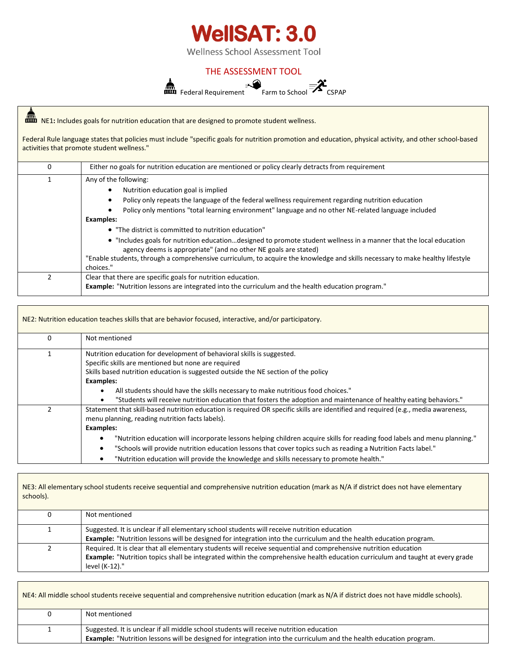

## THE ASSESSMENT TOOL



NE1**:** Includes goals for nutrition education that are designed to promote student wellness.

Federal Rule language states that policies must include "specific goals for nutrition promotion and education, physical activity, and other school-based activities that promote student wellness."

| 0 | Either no goals for nutrition education are mentioned or policy clearly detracts from requirement                                                                                                                                                                                                                      |  |  |  |
|---|------------------------------------------------------------------------------------------------------------------------------------------------------------------------------------------------------------------------------------------------------------------------------------------------------------------------|--|--|--|
|   | Any of the following:<br>Nutrition education goal is implied<br>$\bullet$<br>Policy only repeats the language of the federal wellness requirement regarding nutrition education<br>٠<br>Policy only mentions "total learning environment" language and no other NE-related language included                           |  |  |  |
|   | Examples:<br>• "The district is committed to nutrition education"                                                                                                                                                                                                                                                      |  |  |  |
|   | • "Includes goals for nutrition educationdesigned to promote student wellness in a manner that the local education<br>agency deems is appropriate" (and no other NE goals are stated)<br>"Enable students, through a comprehensive curriculum, to acquire the knowledge and skills necessary to make healthy lifestyle |  |  |  |
|   | choices."                                                                                                                                                                                                                                                                                                              |  |  |  |
|   | Clear that there are specific goals for nutrition education.<br><b>Example:</b> "Nutrition lessons are integrated into the curriculum and the health education program."                                                                                                                                               |  |  |  |

|                  | NE2: Nutrition education teaches skills that are behavior focused, interactive, and/or participatory.                             |  |  |  |  |
|------------------|-----------------------------------------------------------------------------------------------------------------------------------|--|--|--|--|
| 0                | Not mentioned                                                                                                                     |  |  |  |  |
|                  | Nutrition education for development of behavioral skills is suggested.                                                            |  |  |  |  |
|                  | Specific skills are mentioned but none are required                                                                               |  |  |  |  |
|                  | Skills based nutrition education is suggested outside the NE section of the policy                                                |  |  |  |  |
| <b>Examples:</b> |                                                                                                                                   |  |  |  |  |
|                  | All students should have the skills necessary to make nutritious food choices."                                                   |  |  |  |  |
|                  | "Students will receive nutrition education that fosters the adoption and maintenance of healthy eating behaviors."<br>$\bullet$   |  |  |  |  |
|                  | Statement that skill-based nutrition education is required OR specific skills are identified and required (e.g., media awareness, |  |  |  |  |
|                  | menu planning, reading nutrition facts labels).                                                                                   |  |  |  |  |
|                  | <b>Examples:</b>                                                                                                                  |  |  |  |  |
|                  | "Nutrition education will incorporate lessons helping children acquire skills for reading food labels and menu planning."         |  |  |  |  |
|                  | "Schools will provide nutrition education lessons that cover topics such as reading a Nutrition Facts label."<br>٠                |  |  |  |  |
|                  | "Nutrition education will provide the knowledge and skills necessary to promote health."                                          |  |  |  |  |

NE3: All elementary school students receive sequential and comprehensive nutrition education (mark as N/A if district does not have elementary schools).

| Not mentioned                                                                                                                                                                                                                                                       |
|---------------------------------------------------------------------------------------------------------------------------------------------------------------------------------------------------------------------------------------------------------------------|
| Suggested. It is unclear if all elementary school students will receive nutrition education<br>Example: "Nutrition lessons will be designed for integration into the curriculum and the health education program.                                                   |
| Required. It is clear that all elementary students will receive sequential and comprehensive nutrition education<br>Example: "Nutrition topics shall be integrated within the comprehensive health education curriculum and taught at every grade<br>level (K-12)." |

NE4: All middle school students receive sequential and comprehensive nutrition education (mark as N/A if district does not have middle schools). 0 Not mentioned 1 Suggested. It is unclear if all middle school students will receive nutrition education **Example:** "Nutrition lessons will be designed for integration into the curriculum and the health education program.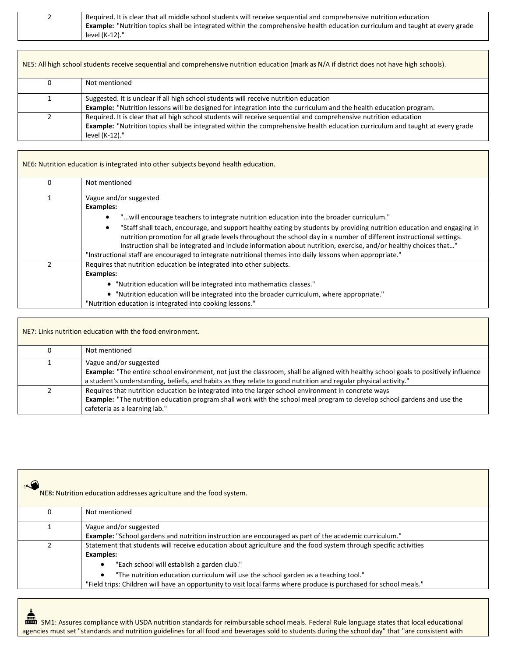| <u>_</u> | Required. It is clear that all middle school students will receive sequential and comprehensive nutrition education                  |
|----------|--------------------------------------------------------------------------------------------------------------------------------------|
|          | <b>Example:</b> "Nutrition topics shall be integrated within the comprehensive health education curriculum and taught at every grade |
|          | level (K-12)."                                                                                                                       |

| NE5: All high school students receive sequential and comprehensive nutrition education (mark as N/A if district does not have high schools). |                                                                                                                                                                                                                                                                             |  |  |
|----------------------------------------------------------------------------------------------------------------------------------------------|-----------------------------------------------------------------------------------------------------------------------------------------------------------------------------------------------------------------------------------------------------------------------------|--|--|
|                                                                                                                                              | Not mentioned                                                                                                                                                                                                                                                               |  |  |
|                                                                                                                                              | Suggested. It is unclear if all high school students will receive nutrition education<br>Example: "Nutrition lessons will be designed for integration into the curriculum and the health education program.                                                                 |  |  |
|                                                                                                                                              | Required. It is clear that all high school students will receive sequential and comprehensive nutrition education<br><b>Example:</b> "Nutrition topics shall be integrated within the comprehensive health education curriculum and taught at every grade<br>level (K-12)." |  |  |

|   | NE6: Nutrition education is integrated into other subjects beyond health education.                                                                                                                                                                                                                                                                                                                                                                                                                                                                                                                                    |
|---|------------------------------------------------------------------------------------------------------------------------------------------------------------------------------------------------------------------------------------------------------------------------------------------------------------------------------------------------------------------------------------------------------------------------------------------------------------------------------------------------------------------------------------------------------------------------------------------------------------------------|
| 0 | Not mentioned                                                                                                                                                                                                                                                                                                                                                                                                                                                                                                                                                                                                          |
|   | Vague and/or suggested<br><b>Examples:</b><br>"will encourage teachers to integrate nutrition education into the broader curriculum."<br>"Staff shall teach, encourage, and support healthy eating by students by providing nutrition education and engaging in<br>nutrition promotion for all grade levels throughout the school day in a number of different instructional settings.<br>Instruction shall be integrated and include information about nutrition, exercise, and/or healthy choices that"<br>"Instructional staff are encouraged to integrate nutritional themes into daily lessons when appropriate." |
|   | Requires that nutrition education be integrated into other subjects.<br><b>Examples:</b><br>• "Nutrition education will be integrated into mathematics classes."<br>• "Nutrition education will be integrated into the broader curriculum, where appropriate."<br>"Nutrition education is integrated into cooking lessons."                                                                                                                                                                                                                                                                                            |

| NE7: Links nutrition education with the food environment. |                                                                                                                                                                                                                                                                                  |  |
|-----------------------------------------------------------|----------------------------------------------------------------------------------------------------------------------------------------------------------------------------------------------------------------------------------------------------------------------------------|--|
|                                                           | Not mentioned                                                                                                                                                                                                                                                                    |  |
|                                                           | Vague and/or suggested<br>Example: "The entire school environment, not just the classroom, shall be aligned with healthy school goals to positively influence<br>a student's understanding, beliefs, and habits as they relate to good nutrition and regular physical activity." |  |
|                                                           | Requires that nutrition education be integrated into the larger school environment in concrete ways<br><b>Example:</b> "The nutrition education program shall work with the school meal program to develop school gardens and use the<br>cafeteria as a learning lab."           |  |

| NE8: Nutrition education addresses agriculture and the food system.                                                                                                                                                                                                                                                                                                                              |
|--------------------------------------------------------------------------------------------------------------------------------------------------------------------------------------------------------------------------------------------------------------------------------------------------------------------------------------------------------------------------------------------------|
| Not mentioned                                                                                                                                                                                                                                                                                                                                                                                    |
| Vague and/or suggested<br><b>Example:</b> "School gardens and nutrition instruction are encouraged as part of the academic curriculum."                                                                                                                                                                                                                                                          |
| Statement that students will receive education about agriculture and the food system through specific activities<br><b>Examples:</b><br>"Each school will establish a garden club."<br>"The nutrition education curriculum will use the school garden as a teaching tool."<br>"Field trips: Children will have an opportunity to visit local farms where produce is purchased for school meals." |

SM1: Assures compliance with USDA nutrition standards for reimbursable school meals. Federal Rule language states that local educational agencies must set "standards and nutrition guidelines for all food and beverages sold to students during the school day" that "are consistent with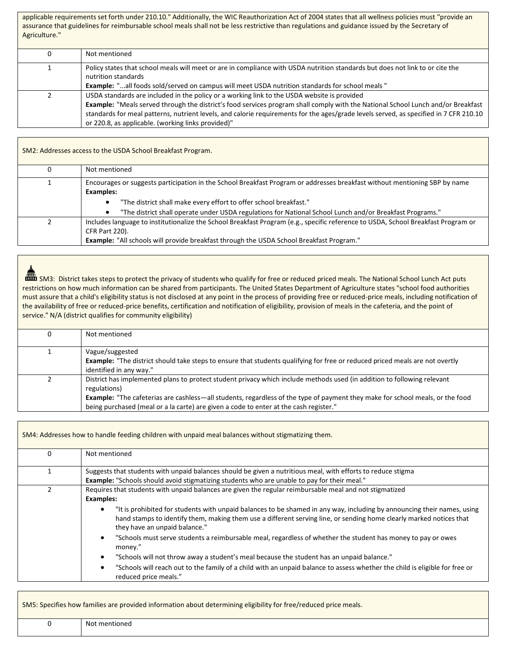applicable requirements set forth under 210.10." Additionally, the WIC Reauthorization Act of 2004 states that all wellness policies must "provide an assurance that guidelines for reimbursable school meals shall not be less restrictive than regulations and guidance issued by the Secretary of Agriculture."

| Not mentioned                                                                                                                                                                                                                                                  |
|----------------------------------------------------------------------------------------------------------------------------------------------------------------------------------------------------------------------------------------------------------------|
| Policy states that school meals will meet or are in compliance with USDA nutrition standards but does not link to or cite the<br>nutrition standards<br><b>Example:</b> "all foods sold/served on campus will meet USDA nutrition standards for school meals " |
|                                                                                                                                                                                                                                                                |
| USDA standards are included in the policy or a working link to the USDA website is provided                                                                                                                                                                    |
| <b>Example:</b> "Meals served through the district's food services program shall comply with the National School Lunch and/or Breakfast                                                                                                                        |
| standards for meal patterns, nutrient levels, and calorie requirements for the ages/grade levels served, as specified in 7 CFR 210.10                                                                                                                          |
| or 220.8, as applicable. (working links provided)"                                                                                                                                                                                                             |

SM2: Addresses access to the USDA School Breakfast Program. 0 **Not mentioned** 1 Encourages or suggests participation in the School Breakfast Program or addresses breakfast without mentioning SBP by name **Examples:** • "The district shall make every effort to offer school breakfast." • "The district shall operate under USDA regulations for National School Lunch and/or Breakfast Programs." 2 Includes language to institutionalize the School Breakfast Program (e.g., specific reference to USDA, School Breakfast Program or CFR Part 220). **Example:** "All schools will provide breakfast through the USDA School Breakfast Program."

**THEM** SM3: District takes steps to protect the privacy of students who qualify for free or reduced priced meals. The National School Lunch Act puts restrictions on how much information can be shared from participants. The United States Department of Agriculture states "school food authorities must assure that a child's eligibility status is not disclosed at any point in the process of providing free or reduced-price meals, including notification of the availability of free or reduced-price benefits, certification and notification of eligibility, provision of meals in the cafeteria, and the point of service." N/A (district qualifies for community eligibility)

| Not mentioned                                                                                                                                                                                                                                                                                                                                                            |
|--------------------------------------------------------------------------------------------------------------------------------------------------------------------------------------------------------------------------------------------------------------------------------------------------------------------------------------------------------------------------|
| Vague/suggested<br>Example: "The district should take steps to ensure that students qualifying for free or reduced priced meals are not overtly<br>identified in any way."                                                                                                                                                                                               |
| District has implemented plans to protect student privacy which include methods used (in addition to following relevant<br>regulations)<br><b>Example:</b> "The cafeterias are cashless—all students, regardless of the type of payment they make for school meals, or the food<br>being purchased (meal or a la carte) are given a code to enter at the cash register." |

|          | SM4: Addresses how to handle feeding children with unpaid meal balances without stigmatizing them.                                                                                                                                                                                                                                                                                                                                                                                                                                                                                                                                                                                                                                                                                                                            |
|----------|-------------------------------------------------------------------------------------------------------------------------------------------------------------------------------------------------------------------------------------------------------------------------------------------------------------------------------------------------------------------------------------------------------------------------------------------------------------------------------------------------------------------------------------------------------------------------------------------------------------------------------------------------------------------------------------------------------------------------------------------------------------------------------------------------------------------------------|
| $\Omega$ | Not mentioned                                                                                                                                                                                                                                                                                                                                                                                                                                                                                                                                                                                                                                                                                                                                                                                                                 |
|          | Suggests that students with unpaid balances should be given a nutritious meal, with efforts to reduce stigma<br><b>Example:</b> "Schools should avoid stigmatizing students who are unable to pay for their meal."                                                                                                                                                                                                                                                                                                                                                                                                                                                                                                                                                                                                            |
|          | Requires that students with unpaid balances are given the regular reimbursable meal and not stigmatized<br><b>Examples:</b><br>"It is prohibited for students with unpaid balances to be shamed in any way, including by announcing their names, using<br>$\bullet$<br>hand stamps to identify them, making them use a different serving line, or sending home clearly marked notices that<br>they have an unpaid balance."<br>"Schools must serve students a reimbursable meal, regardless of whether the student has money to pay or owes<br>$\bullet$<br>money."<br>"Schools will not throw away a student's meal because the student has an unpaid balance."<br>"Schools will reach out to the family of a child with an unpaid balance to assess whether the child is eligible for free or<br>٠<br>reduced price meals." |

| SM5: Specifies how families are provided information about determining eligibility for free/reduced price meals. |  |  |
|------------------------------------------------------------------------------------------------------------------|--|--|

| Not<br>men. |
|-------------|
|             |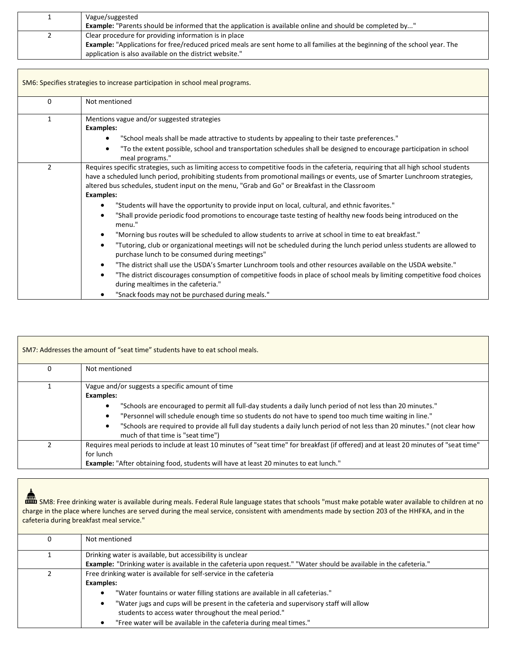| Vague/suggested<br><b>Example:</b> "Parents should be informed that the application is available online and should be completed by"                                                                                                             |
|-------------------------------------------------------------------------------------------------------------------------------------------------------------------------------------------------------------------------------------------------|
| Clear procedure for providing information is in place<br>Example: "Applications for free/reduced priced meals are sent home to all families at the beginning of the school year. The<br>application is also available on the district website." |

| SM6: Specifies strategies to increase participation in school meal programs. |                                                                                                                                                                                                                                                                                                                                                                                           |
|------------------------------------------------------------------------------|-------------------------------------------------------------------------------------------------------------------------------------------------------------------------------------------------------------------------------------------------------------------------------------------------------------------------------------------------------------------------------------------|
| $\Omega$                                                                     | Not mentioned                                                                                                                                                                                                                                                                                                                                                                             |
| 1                                                                            | Mentions vague and/or suggested strategies<br><b>Examples:</b><br>"School meals shall be made attractive to students by appealing to their taste preferences."<br>"To the extent possible, school and transportation schedules shall be designed to encourage participation in school                                                                                                     |
| $\mathcal{P}$                                                                | meal programs."<br>Requires specific strategies, such as limiting access to competitive foods in the cafeteria, requiring that all high school students<br>have a scheduled lunch period, prohibiting students from promotional mailings or events, use of Smarter Lunchroom strategies,<br>altered bus schedules, student input on the menu, "Grab and Go" or Breakfast in the Classroom |
|                                                                              | <b>Examples:</b><br>"Students will have the opportunity to provide input on local, cultural, and ethnic favorites."<br>$\bullet$<br>"Shall provide periodic food promotions to encourage taste testing of healthy new foods being introduced on the<br>$\bullet$<br>menu."                                                                                                                |
|                                                                              | "Morning bus routes will be scheduled to allow students to arrive at school in time to eat breakfast."<br>$\bullet$<br>"Tutoring, club or organizational meetings will not be scheduled during the lunch period unless students are allowed to<br>$\bullet$<br>purchase lunch to be consumed during meetings"                                                                             |
|                                                                              | "The district shall use the USDA's Smarter Lunchroom tools and other resources available on the USDA website."<br>$\bullet$<br>"The district discourages consumption of competitive foods in place of school meals by limiting competitive food choices<br>$\bullet$<br>during mealtimes in the cafeteria."<br>"Snack foods may not be purchased during meals."                           |

| SM7: Addresses the amount of "seat time" students have to eat school meals. |                                                                                                                                                                                                                                                                                                                                                                                                                                                                  |
|-----------------------------------------------------------------------------|------------------------------------------------------------------------------------------------------------------------------------------------------------------------------------------------------------------------------------------------------------------------------------------------------------------------------------------------------------------------------------------------------------------------------------------------------------------|
| O                                                                           | Not mentioned                                                                                                                                                                                                                                                                                                                                                                                                                                                    |
|                                                                             | Vague and/or suggests a specific amount of time<br><b>Examples:</b><br>"Schools are encouraged to permit all full-day students a daily lunch period of not less than 20 minutes."<br>"Personnel will schedule enough time so students do not have to spend too much time waiting in line."<br>"Schools are required to provide all full day students a daily lunch period of not less than 20 minutes." (not clear how<br>٠<br>much of that time is "seat time") |
|                                                                             | Requires meal periods to include at least 10 minutes of "seat time" for breakfast (if offered) and at least 20 minutes of "seat time"<br>for lunch<br><b>Example:</b> "After obtaining food, students will have at least 20 minutes to eat lunch."                                                                                                                                                                                                               |

| SM8: Free drinking water is available during meals. Federal Rule language states that schools "must make potable water available to children at no |
|----------------------------------------------------------------------------------------------------------------------------------------------------|
| charge in the place where lunches are served during the meal service, consistent with amendments made by section 203 of the HHFKA, and in the      |
| cafeteria during breakfast meal service."                                                                                                          |

 $\overline{1}$ 

| Not mentioned                                                                                                       |
|---------------------------------------------------------------------------------------------------------------------|
| Drinking water is available, but accessibility is unclear                                                           |
| Example: "Drinking water is available in the cafeteria upon request." "Water should be available in the cafeteria." |
| Free drinking water is available for self-service in the cafeteria                                                  |
| <b>Examples:</b>                                                                                                    |
| "Water fountains or water filling stations are available in all cafeterias."<br>$\bullet$                           |
| "Water jugs and cups will be present in the cafeteria and supervisory staff will allow<br>$\bullet$                 |
| students to access water throughout the meal period."                                                               |
| "Free water will be available in the cafeteria during meal times."                                                  |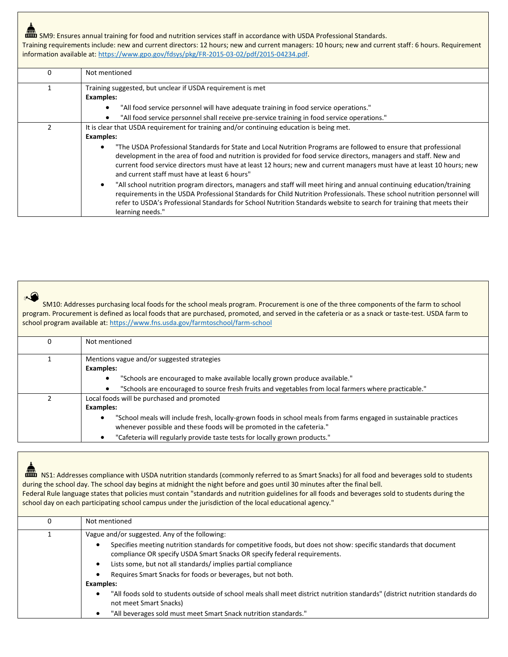**RM** SM9: Ensures annual training for food and nutrition services staff in accordance with USDA Professional Standards. Training requirements include: new and current directors: 12 hours; new and current managers: 10 hours; new and current staff: 6 hours. Requirement information available at: [https://www.gpo.gov/fdsys/pkg/FR-2015-03-02/pdf/2015-04234.pdf.](https://www.gpo.gov/fdsys/pkg/FR-2015-03-02/pdf/2015-04234.pdf)

| <sup>0</sup> | Not mentioned                                                                                                                                                                                                                                                                                                                                                                                               |
|--------------|-------------------------------------------------------------------------------------------------------------------------------------------------------------------------------------------------------------------------------------------------------------------------------------------------------------------------------------------------------------------------------------------------------------|
|              | Training suggested, but unclear if USDA requirement is met<br><b>Examples:</b>                                                                                                                                                                                                                                                                                                                              |
|              | "All food service personnel will have adequate training in food service operations."<br>$\bullet$                                                                                                                                                                                                                                                                                                           |
|              | "All food service personnel shall receive pre-service training in food service operations."                                                                                                                                                                                                                                                                                                                 |
|              | It is clear that USDA requirement for training and/or continuing education is being met.<br><b>Examples:</b><br>"The USDA Professional Standards for State and Local Nutrition Programs are followed to ensure that professional<br>$\bullet$<br>development in the area of food and nutrition is provided for food service directors, managers and staff. New and                                          |
|              | current food service directors must have at least 12 hours; new and current managers must have at least 10 hours; new<br>and current staff must have at least 6 hours"                                                                                                                                                                                                                                      |
|              | "All school nutrition program directors, managers and staff will meet hiring and annual continuing education/training<br>$\bullet$<br>requirements in the USDA Professional Standards for Child Nutrition Professionals. These school nutrition personnel will<br>refer to USDA's Professional Standards for School Nutrition Standards website to search for training that meets their<br>learning needs." |

 $\blacktriangle$ 

 SM10: Addresses purchasing local foods for the school meals program. Procurement is one of the three components of the farm to school program. Procurement is defined as local foods that are purchased, promoted, and served in the cafeteria or as a snack or taste-test. USDA farm to school program available at: <https://www.fns.usda.gov/farmtoschool/farm-school>

| 0 | Not mentioned                                                                                                          |
|---|------------------------------------------------------------------------------------------------------------------------|
|   |                                                                                                                        |
|   | Mentions vague and/or suggested strategies                                                                             |
|   | Examples:                                                                                                              |
|   | "Schools are encouraged to make available locally grown produce available."                                            |
|   | "Schools are encouraged to source fresh fruits and vegetables from local farmers where practicable."                   |
|   | Local foods will be purchased and promoted                                                                             |
|   | Examples:                                                                                                              |
|   | "School meals will include fresh, locally-grown foods in school meals from farms engaged in sustainable practices<br>٠ |
|   | whenever possible and these foods will be promoted in the cafeteria."                                                  |
|   | "Cafeteria will regularly provide taste tests for locally grown products."                                             |

| ▦        | NS1: Addresses compliance with USDA nutrition standards (commonly referred to as Smart Snacks) for all food and beverages sold to students<br>during the school day. The school day begins at midnight the night before and goes until 30 minutes after the final bell.<br>Federal Rule language states that policies must contain "standards and nutrition guidelines for all foods and beverages sold to students during the<br>school day on each participating school campus under the jurisdiction of the local educational agency."                                                                                                                           |
|----------|---------------------------------------------------------------------------------------------------------------------------------------------------------------------------------------------------------------------------------------------------------------------------------------------------------------------------------------------------------------------------------------------------------------------------------------------------------------------------------------------------------------------------------------------------------------------------------------------------------------------------------------------------------------------|
| $\Omega$ | Not mentioned                                                                                                                                                                                                                                                                                                                                                                                                                                                                                                                                                                                                                                                       |
|          | Vague and/or suggested. Any of the following:<br>Specifies meeting nutrition standards for competitive foods, but does not show: specific standards that document<br>٠<br>compliance OR specify USDA Smart Snacks OR specify federal requirements.<br>Lists some, but not all standards/implies partial compliance<br>$\bullet$<br>Requires Smart Snacks for foods or beverages, but not both.<br>$\bullet$<br>Examples:<br>"All foods sold to students outside of school meals shall meet district nutrition standards" (district nutrition standards do<br>$\bullet$<br>not meet Smart Snacks)<br>"All beverages sold must meet Smart Snack nutrition standards." |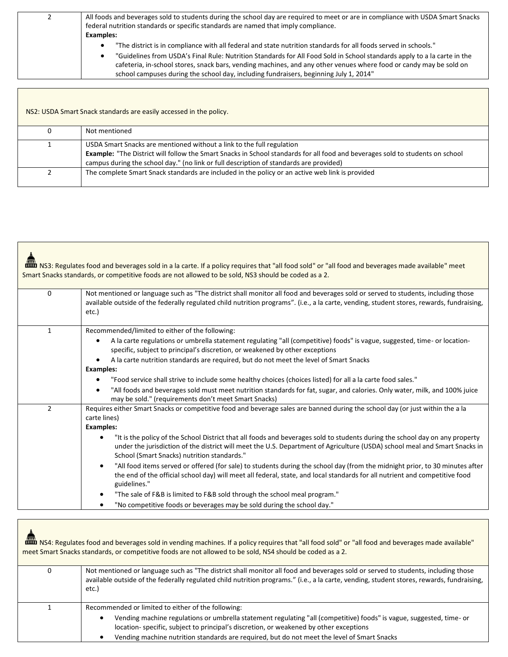| All foods and beverages sold to students during the school day are required to meet or are in compliance with USDA Smart Snacks<br>federal nutrition standards or specific standards are named that imply compliance. |
|-----------------------------------------------------------------------------------------------------------------------------------------------------------------------------------------------------------------------|
| <b>Examples:</b>                                                                                                                                                                                                      |
| "The district is in compliance with all federal and state nutrition standards for all foods served in schools."                                                                                                       |
| "Guidelines from USDA's Final Rule: Nutrition Standards for All Food Sold in School standards apply to a la carte in the                                                                                              |
| cafeteria, in-school stores, snack bars, vending machines, and any other venues where food or candy may be sold on                                                                                                    |
| school campuses during the school day, including fundraisers, beginning July 1, 2014"                                                                                                                                 |

NS2: USDA Smart Snack standards are easily accessed in the policy.

| Not mentioned                                                                                                                                                                                                                                                                                    |
|--------------------------------------------------------------------------------------------------------------------------------------------------------------------------------------------------------------------------------------------------------------------------------------------------|
| USDA Smart Snacks are mentioned without a link to the full regulation<br>Example: "The District will follow the Smart Snacks in School standards for all food and beverages sold to students on school<br>campus during the school day." (no link or full description of standards are provided) |
| The complete Smart Snack standards are included in the policy or an active web link is provided                                                                                                                                                                                                  |

|               | imm NS3: Regulates food and beverages sold in a la carte. If a policy requires that "all food sold" or "all food and beverages made available" meet<br>Smart Snacks standards, or competitive foods are not allowed to be sold, NS3 should be coded as a 2.                                                                                                                                                                                                                                                                                                                                                                                                                                                                                                |
|---------------|------------------------------------------------------------------------------------------------------------------------------------------------------------------------------------------------------------------------------------------------------------------------------------------------------------------------------------------------------------------------------------------------------------------------------------------------------------------------------------------------------------------------------------------------------------------------------------------------------------------------------------------------------------------------------------------------------------------------------------------------------------|
| $\Omega$      | Not mentioned or language such as "The district shall monitor all food and beverages sold or served to students, including those<br>available outside of the federally regulated child nutrition programs". (i.e., a la carte, vending, student stores, rewards, fundraising,<br>etc.)                                                                                                                                                                                                                                                                                                                                                                                                                                                                     |
| $\mathbf{1}$  | Recommended/limited to either of the following:<br>A la carte regulations or umbrella statement regulating "all (competitive) foods" is vague, suggested, time- or location-<br>$\bullet$<br>specific, subject to principal's discretion, or weakened by other exceptions<br>A la carte nutrition standards are required, but do not meet the level of Smart Snacks<br>$\bullet$<br><b>Examples:</b><br>"Food service shall strive to include some healthy choices (choices listed) for all a la carte food sales."                                                                                                                                                                                                                                        |
|               | "All foods and beverages sold must meet nutrition standards for fat, sugar, and calories. Only water, milk, and 100% juice<br>$\bullet$<br>may be sold." (requirements don't meet Smart Snacks)                                                                                                                                                                                                                                                                                                                                                                                                                                                                                                                                                            |
| $\mathcal{P}$ | Requires either Smart Snacks or competitive food and beverage sales are banned during the school day (or just within the a la<br>carte lines)<br><b>Examples:</b><br>"It is the policy of the School District that all foods and beverages sold to students during the school day on any property<br>under the jurisdiction of the district will meet the U.S. Department of Agriculture (USDA) school meal and Smart Snacks in<br>School (Smart Snacks) nutrition standards."<br>"All food items served or offered (for sale) to students during the school day (from the midnight prior, to 30 minutes after<br>$\bullet$<br>the end of the official school day) will meet all federal, state, and local standards for all nutrient and competitive food |
|               | guidelines."<br>"The sale of F&B is limited to F&B sold through the school meal program."<br>"No competitive foods or beverages may be sold during the school day."                                                                                                                                                                                                                                                                                                                                                                                                                                                                                                                                                                                        |
|               |                                                                                                                                                                                                                                                                                                                                                                                                                                                                                                                                                                                                                                                                                                                                                            |

|   | "NS4: Regulates food and beverages sold in vending machines. If a policy requires that "all food sold" or "all food and beverages made available"<br>meet Smart Snacks standards, or competitive foods are not allowed to be sold, NS4 should be coded as a 2.                                                                                                     |
|---|--------------------------------------------------------------------------------------------------------------------------------------------------------------------------------------------------------------------------------------------------------------------------------------------------------------------------------------------------------------------|
| 0 | Not mentioned or language such as "The district shall monitor all food and beverages sold or served to students, including those<br>available outside of the federally regulated child nutrition programs." (i.e., a la carte, vending, student stores, rewards, fundraising,<br>etc.)                                                                             |
|   | Recommended or limited to either of the following:<br>Vending machine regulations or umbrella statement regulating "all (competitive) foods" is vague, suggested, time- or<br>location-specific, subject to principal's discretion, or weakened by other exceptions<br>Vending machine nutrition standards are required, but do not meet the level of Smart Snacks |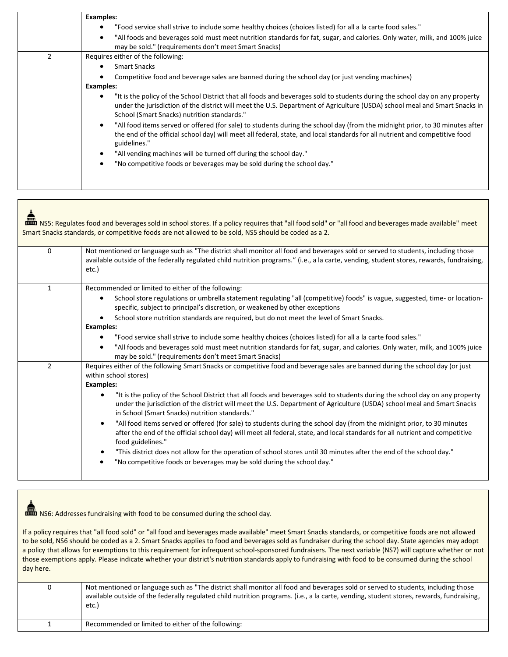|               | Examples:                                                                                                                                                                                                                                                                                                      |
|---------------|----------------------------------------------------------------------------------------------------------------------------------------------------------------------------------------------------------------------------------------------------------------------------------------------------------------|
|               | "Food service shall strive to include some healthy choices (choices listed) for all a la carte food sales."                                                                                                                                                                                                    |
|               | "All foods and beverages sold must meet nutrition standards for fat, sugar, and calories. Only water, milk, and 100% juice<br>$\bullet$<br>may be sold." (requirements don't meet Smart Snacks)                                                                                                                |
| $\mathcal{P}$ | Requires either of the following:                                                                                                                                                                                                                                                                              |
|               | <b>Smart Snacks</b>                                                                                                                                                                                                                                                                                            |
|               | Competitive food and beverage sales are banned during the school day (or just vending machines)                                                                                                                                                                                                                |
|               | Examples:                                                                                                                                                                                                                                                                                                      |
|               | "It is the policy of the School District that all foods and beverages sold to students during the school day on any property<br>٠<br>under the jurisdiction of the district will meet the U.S. Department of Agriculture (USDA) school meal and Smart Snacks in<br>School (Smart Snacks) nutrition standards." |
|               | "All food items served or offered (for sale) to students during the school day (from the midnight prior, to 30 minutes after<br>$\bullet$<br>the end of the official school day) will meet all federal, state, and local standards for all nutrient and competitive food<br>guidelines."                       |
|               | "All vending machines will be turned off during the school day."<br>٠                                                                                                                                                                                                                                          |
|               | "No competitive foods or beverages may be sold during the school day."<br>$\bullet$                                                                                                                                                                                                                            |
|               |                                                                                                                                                                                                                                                                                                                |

|                | NS5: Regulates food and beverages sold in school stores. If a policy requires that "all food sold" or "all food and beverages made available" meet<br>Smart Snacks standards, or competitive foods are not allowed to be sold, NS5 should be coded as a 2.                                                                                                                                                                                                                                                                                                                                                                                                                                                                                                                                                                                                                                                                                                                                                                   |
|----------------|------------------------------------------------------------------------------------------------------------------------------------------------------------------------------------------------------------------------------------------------------------------------------------------------------------------------------------------------------------------------------------------------------------------------------------------------------------------------------------------------------------------------------------------------------------------------------------------------------------------------------------------------------------------------------------------------------------------------------------------------------------------------------------------------------------------------------------------------------------------------------------------------------------------------------------------------------------------------------------------------------------------------------|
| $\Omega$       | Not mentioned or language such as "The district shall monitor all food and beverages sold or served to students, including those<br>available outside of the federally regulated child nutrition programs." (i.e., a la carte, vending, student stores, rewards, fundraising,<br>etc.)                                                                                                                                                                                                                                                                                                                                                                                                                                                                                                                                                                                                                                                                                                                                       |
| $\mathbf{1}$   | Recommended or limited to either of the following:<br>School store regulations or umbrella statement regulating "all (competitive) foods" is vague, suggested, time- or location-<br>$\bullet$<br>specific, subject to principal's discretion, or weakened by other exceptions                                                                                                                                                                                                                                                                                                                                                                                                                                                                                                                                                                                                                                                                                                                                               |
|                | School store nutrition standards are required, but do not meet the level of Smart Snacks.<br><b>Examples:</b><br>"Food service shall strive to include some healthy choices (choices listed) for all a la carte food sales."<br>٠<br>"All foods and beverages sold must meet nutrition standards for fat, sugar, and calories. Only water, milk, and 100% juice<br>$\bullet$<br>may be sold." (requirements don't meet Smart Snacks)                                                                                                                                                                                                                                                                                                                                                                                                                                                                                                                                                                                         |
| $\overline{2}$ | Requires either of the following Smart Snacks or competitive food and beverage sales are banned during the school day (or just<br>within school stores)<br><b>Examples:</b><br>"It is the policy of the School District that all foods and beverages sold to students during the school day on any property<br>$\bullet$<br>under the jurisdiction of the district will meet the U.S. Department of Agriculture (USDA) school meal and Smart Snacks<br>in School (Smart Snacks) nutrition standards."<br>"All food items served or offered (for sale) to students during the school day (from the midnight prior, to 30 minutes<br>$\bullet$<br>after the end of the official school day) will meet all federal, state, and local standards for all nutrient and competitive<br>food guidelines."<br>"This district does not allow for the operation of school stores until 30 minutes after the end of the school day."<br>$\bullet$<br>"No competitive foods or beverages may be sold during the school day."<br>$\bullet$ |

**non** NS6: Addresses fundraising with food to be consumed during the school day.

If a policy requires that "all food sold" or "all food and beverages made available" meet Smart Snacks standards, or competitive foods are not allowed to be sold, NS6 should be coded as a 2. Smart Snacks applies to food and beverages sold as fundraiser during the school day. State agencies may adopt a policy that allows for exemptions to this requirement for infrequent school-sponsored fundraisers. The next variable (NS7) will capture whether or not those exemptions apply. Please indicate whether your district's nutrition standards apply to fundraising with food to be consumed during the school day here.

| 0 | Not mentioned or language such as "The district shall monitor all food and beverages sold or served to students, including those<br>available outside of the federally regulated child nutrition programs. (i.e., a la carte, vending, student stores, rewards, fundraising,<br>etc.) |
|---|---------------------------------------------------------------------------------------------------------------------------------------------------------------------------------------------------------------------------------------------------------------------------------------|
|   | Recommended or limited to either of the following:                                                                                                                                                                                                                                    |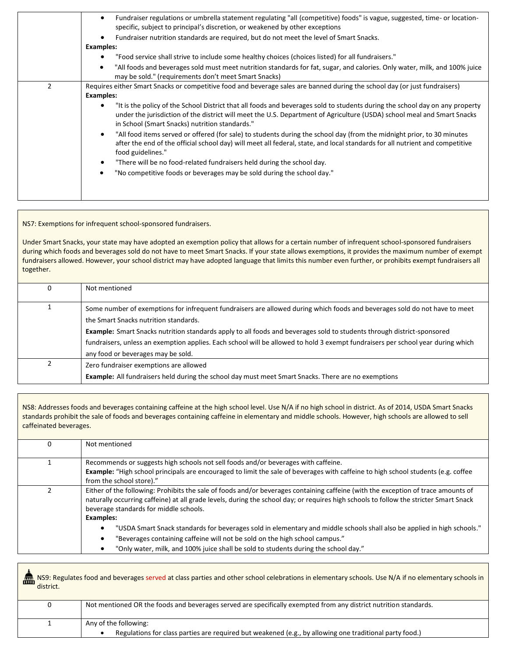| Fundraiser regulations or umbrella statement regulating "all (competitive) foods" is vague, suggested, time- or location-<br>$\bullet$<br>specific, subject to principal's discretion, or weakened by other exceptions                                                                                                 |
|------------------------------------------------------------------------------------------------------------------------------------------------------------------------------------------------------------------------------------------------------------------------------------------------------------------------|
| Fundraiser nutrition standards are required, but do not meet the level of Smart Snacks.                                                                                                                                                                                                                                |
| Examples:                                                                                                                                                                                                                                                                                                              |
| "Food service shall strive to include some healthy choices (choices listed) for all fundraisers."                                                                                                                                                                                                                      |
| "All foods and beverages sold must meet nutrition standards for fat, sugar, and calories. Only water, milk, and 100% juice<br>$\bullet$<br>may be sold." (requirements don't meet Smart Snacks)                                                                                                                        |
| Requires either Smart Snacks or competitive food and beverage sales are banned during the school day (or just fundraisers)                                                                                                                                                                                             |
| <b>Examples:</b>                                                                                                                                                                                                                                                                                                       |
| "It is the policy of the School District that all foods and beverages sold to students during the school day on any property<br>$\bullet$<br>under the jurisdiction of the district will meet the U.S. Department of Agriculture (USDA) school meal and Smart Snacks<br>in School (Smart Snacks) nutrition standards." |
| "All food items served or offered (for sale) to students during the school day (from the midnight prior, to 30 minutes<br>$\bullet$<br>after the end of the official school day) will meet all federal, state, and local standards for all nutrient and competitive<br>food guidelines."                               |
| "There will be no food-related fundraisers held during the school day.                                                                                                                                                                                                                                                 |
| "No competitive foods or beverages may be sold during the school day."<br>$\bullet$                                                                                                                                                                                                                                    |
|                                                                                                                                                                                                                                                                                                                        |
|                                                                                                                                                                                                                                                                                                                        |

NS7: Exemptions for infrequent school-sponsored fundraisers.

Under Smart Snacks, your state may have adopted an exemption policy that allows for a certain number of infrequent school-sponsored fundraisers during which foods and beverages sold do not have to meet Smart Snacks. If your state allows exemptions, it provides the maximum number of exempt fundraisers allowed. However, your school district may have adopted language that limits this number even further, or prohibits exempt fundraisers all together.

| 0 | Not mentioned                                                                                                                                                       |
|---|---------------------------------------------------------------------------------------------------------------------------------------------------------------------|
|   |                                                                                                                                                                     |
|   | Some number of exemptions for infrequent fundraisers are allowed during which foods and beverages sold do not have to meet<br>the Smart Snacks nutrition standards. |
|   |                                                                                                                                                                     |
|   | <b>Example:</b> Smart Snacks nutrition standards apply to all foods and beverages sold to students through district-sponsored                                       |
|   | fundraisers, unless an exemption applies. Each school will be allowed to hold 3 exempt fundraisers per school year during which                                     |
|   | any food or beverages may be sold.                                                                                                                                  |
|   | Zero fundraiser exemptions are allowed                                                                                                                              |
|   | <b>Example:</b> All fundraisers held during the school day must meet Smart Snacks. There are no exemptions                                                          |

NS8: Addresses foods and beverages containing caffeine at the high school level. Use N/A if no high school in district. As of 2014, USDA Smart Snacks standards prohibit the sale of foods and beverages containing caffeine in elementary and middle schools. However, high schools are allowed to sell caffeinated beverages.

| Not mentioned                                                                                                                                                                                                                                                                                                                            |
|------------------------------------------------------------------------------------------------------------------------------------------------------------------------------------------------------------------------------------------------------------------------------------------------------------------------------------------|
| Recommends or suggests high schools not sell foods and/or beverages with caffeine.<br>Example: "High school principals are encouraged to limit the sale of beverages with caffeine to high school students (e.g. coffee<br>from the school store)."                                                                                      |
| Either of the following: Prohibits the sale of foods and/or beverages containing caffeine (with the exception of trace amounts of<br>naturally occurring caffeine) at all grade levels, during the school day; or requires high schools to follow the stricter Smart Snack<br>beverage standards for middle schools.<br><b>Examples:</b> |
| "USDA Smart Snack standards for beverages sold in elementary and middle schools shall also be applied in high schools."<br>٠<br>"Beverages containing caffeine will not be sold on the high school campus."<br>٠<br>"Only water, milk, and 100% juice shall be sold to students during the school day."                                  |

| district. | <b>ARPO</b> NS9: Regulates food and beverages served at class parties and other school celebrations in elementary schools. Use N/A if no elementary schools in |
|-----------|----------------------------------------------------------------------------------------------------------------------------------------------------------------|
| 0         | Not mentioned OR the foods and beverages served are specifically exempted from any district nutrition standards.                                               |
|           |                                                                                                                                                                |
|           | Any of the following:                                                                                                                                          |
|           | Regulations for class parties are required but weakened (e.g., by allowing one traditional party food.)                                                        |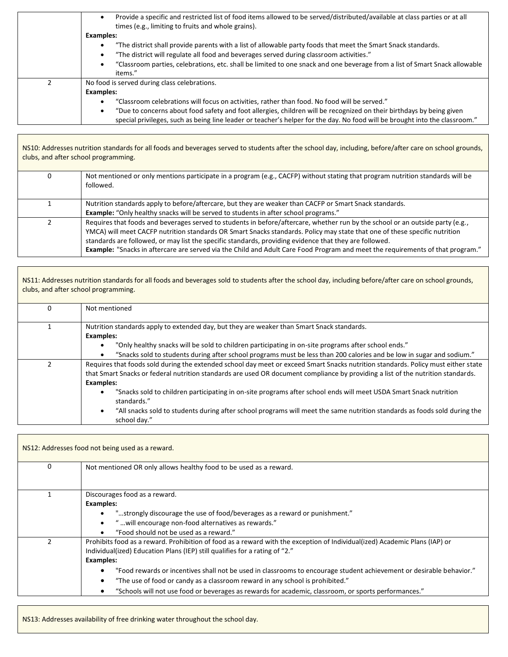|    | Provide a specific and restricted list of food items allowed to be served/distributed/available at class parties or at all<br>times (e.g., limiting to fruits and whole grains).                         |
|----|----------------------------------------------------------------------------------------------------------------------------------------------------------------------------------------------------------|
|    | <b>Examples:</b>                                                                                                                                                                                         |
|    | "The district shall provide parents with a list of allowable party foods that meet the Smart Snack standards.<br>"The district will regulate all food and beverages served during classroom activities." |
|    | "Classroom parties, celebrations, etc. shall be limited to one snack and one beverage from a list of Smart Snack allowable<br>items."                                                                    |
| C. | No food is served during class celebrations.                                                                                                                                                             |
|    | <b>Examples:</b>                                                                                                                                                                                         |
|    | "Classroom celebrations will focus on activities, rather than food. No food will be served."                                                                                                             |
|    | "Due to concerns about food safety and foot allergies, children will be recognized on their birthdays by being given                                                                                     |
|    | special privileges, such as being line leader or teacher's helper for the day. No food will be brought into the classroom."                                                                              |

NS10: Addresses nutrition standards for all foods and beverages served to students after the school day, including, before/after care on school grounds, clubs, and after school programming.

| 0 | Not mentioned or only mentions participate in a program (e.g., CACFP) without stating that program nutrition standards will be<br>followed.                                                                                                                                                                                                                                                                                                                                                              |
|---|----------------------------------------------------------------------------------------------------------------------------------------------------------------------------------------------------------------------------------------------------------------------------------------------------------------------------------------------------------------------------------------------------------------------------------------------------------------------------------------------------------|
|   | Nutrition standards apply to before/aftercare, but they are weaker than CACFP or Smart Snack standards.<br><b>Example:</b> "Only healthy snacks will be served to students in after school programs."                                                                                                                                                                                                                                                                                                    |
|   | Requires that foods and beverages served to students in before/aftercare, whether run by the school or an outside party (e.g.,<br>YMCA) will meet CACFP nutrition standards OR Smart Snacks standards. Policy may state that one of these specific nutrition<br>standards are followed, or may list the specific standards, providing evidence that they are followed.<br>Example: "Snacks in aftercare are served via the Child and Adult Care Food Program and meet the requirements of that program." |

| NS11: Addresses nutrition standards for all foods and beverages sold to students after the school day, including before/after care on school grounds,<br>clubs, and after school programming.                                                                                              |
|--------------------------------------------------------------------------------------------------------------------------------------------------------------------------------------------------------------------------------------------------------------------------------------------|
| Not mentioned                                                                                                                                                                                                                                                                              |
| Nutrition standards apply to extended day, but they are weaker than Smart Snack standards.<br><b>Examples:</b><br>"Only healthy snacks will be sold to children participating in on-site programs after school ends."                                                                      |
| "Snacks sold to students during after school programs must be less than 200 calories and be low in sugar and sodium."                                                                                                                                                                      |
| Requires that foods sold during the extended school day meet or exceed Smart Snacks nutrition standards. Policy must either state<br>that Smart Snacks or federal nutrition standards are used OR document compliance by providing a list of the nutrition standards.<br><b>Examples:</b>  |
| "Snacks sold to children participating in on-site programs after school ends will meet USDA Smart Snack nutrition<br>standards."<br>"All snacks sold to students during after school programs will meet the same nutrition standards as foods sold during the<br>$\bullet$<br>school day." |

| NS12: Addresses food not being used as a reward. |                                                                                                                                                                                                                                                                                                                                                                                                                                                                                                                                                |
|--------------------------------------------------|------------------------------------------------------------------------------------------------------------------------------------------------------------------------------------------------------------------------------------------------------------------------------------------------------------------------------------------------------------------------------------------------------------------------------------------------------------------------------------------------------------------------------------------------|
| 0                                                | Not mentioned OR only allows healthy food to be used as a reward.                                                                                                                                                                                                                                                                                                                                                                                                                                                                              |
|                                                  | Discourages food as a reward.<br><b>Examples:</b><br>"strongly discourage the use of food/beverages as a reward or punishment."<br>" will encourage non-food alternatives as rewards."<br>"Food should not be used as a reward."                                                                                                                                                                                                                                                                                                               |
|                                                  | Prohibits food as a reward. Prohibition of food as a reward with the exception of Individual(ized) Academic Plans (IAP) or<br>Individual(ized) Education Plans (IEP) still qualifies for a rating of "2."<br><b>Examples:</b><br>"Food rewards or incentives shall not be used in classrooms to encourage student achievement or desirable behavior."<br>"The use of food or candy as a classroom reward in any school is prohibited."<br>"Schools will not use food or beverages as rewards for academic, classroom, or sports performances." |

NS13: Addresses availability of free drinking water throughout the school day.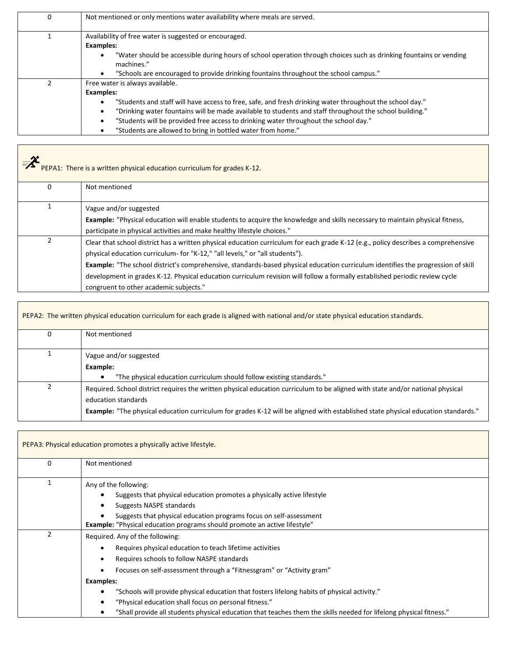| 0 | Not mentioned or only mentions water availability where meals are served.                                                        |
|---|----------------------------------------------------------------------------------------------------------------------------------|
|   | Availability of free water is suggested or encouraged.<br><b>Examples:</b>                                                       |
|   | "Water should be accessible during hours of school operation through choices such as drinking fountains or vending<br>machines." |
|   | "Schools are encouraged to provide drinking fountains throughout the school campus."                                             |
|   | Free water is always available.                                                                                                  |
|   | <b>Examples:</b>                                                                                                                 |
|   | "Students and staff will have access to free, safe, and fresh drinking water throughout the school day."                         |
|   | "Drinking water fountains will be made available to students and staff throughout the school building."<br>٠                     |
|   | "Students will be provided free access to drinking water throughout the school day."                                             |
|   | "Students are allowed to bring in bottled water from home."                                                                      |

| $=\chi$<br>PEPA1: There is a written physical education curriculum for grades K-12. |                                                                                                                                                                                                                                                                                                                                                                                                                                                                                                                                 |
|-------------------------------------------------------------------------------------|---------------------------------------------------------------------------------------------------------------------------------------------------------------------------------------------------------------------------------------------------------------------------------------------------------------------------------------------------------------------------------------------------------------------------------------------------------------------------------------------------------------------------------|
| 0                                                                                   | Not mentioned                                                                                                                                                                                                                                                                                                                                                                                                                                                                                                                   |
|                                                                                     | Vague and/or suggested<br><b>Example:</b> "Physical education will enable students to acquire the knowledge and skills necessary to maintain physical fitness,<br>participate in physical activities and make healthy lifestyle choices."                                                                                                                                                                                                                                                                                       |
|                                                                                     | Clear that school district has a written physical education curriculum for each grade K-12 (e.g., policy describes a comprehensive<br>physical education curriculum- for "K-12," "all levels," or "all students").<br>Example: "The school district's comprehensive, standards-based physical education curriculum identifies the progression of skill<br>development in grades K-12. Physical education curriculum revision will follow a formally established periodic review cycle<br>congruent to other academic subjects." |

| PEPA2: The written physical education curriculum for each grade is aligned with national and/or state physical education standards. |                                                                                                                                                                                                                                                                                                   |
|-------------------------------------------------------------------------------------------------------------------------------------|---------------------------------------------------------------------------------------------------------------------------------------------------------------------------------------------------------------------------------------------------------------------------------------------------|
| 0                                                                                                                                   | Not mentioned                                                                                                                                                                                                                                                                                     |
|                                                                                                                                     | Vague and/or suggested<br>Example:<br>"The physical education curriculum should follow existing standards."                                                                                                                                                                                       |
|                                                                                                                                     | Required. School district requires the written physical education curriculum to be aligned with state and/or national physical<br>education standards<br><b>Example:</b> "The physical education curriculum for grades K-12 will be aligned with established state physical education standards." |

|   | PEPA3: Physical education promotes a physically active lifestyle.                                                  |
|---|--------------------------------------------------------------------------------------------------------------------|
| O | Not mentioned                                                                                                      |
|   | Any of the following:                                                                                              |
|   | Suggests that physical education promotes a physically active lifestyle                                            |
|   | Suggests NASPE standards                                                                                           |
|   | Suggests that physical education programs focus on self-assessment                                                 |
|   | <b>Example:</b> "Physical education programs should promote an active lifestyle"                                   |
|   | Required. Any of the following:                                                                                    |
|   | Requires physical education to teach lifetime activities                                                           |
|   | Requires schools to follow NASPE standards                                                                         |
|   | Focuses on self-assessment through a "Fitnessgram" or "Activity gram"                                              |
|   | Examples:                                                                                                          |
|   | "Schools will provide physical education that fosters lifelong habits of physical activity."                       |
|   | "Physical education shall focus on personal fitness."                                                              |
|   | "Shall provide all students physical education that teaches them the skills needed for lifelong physical fitness." |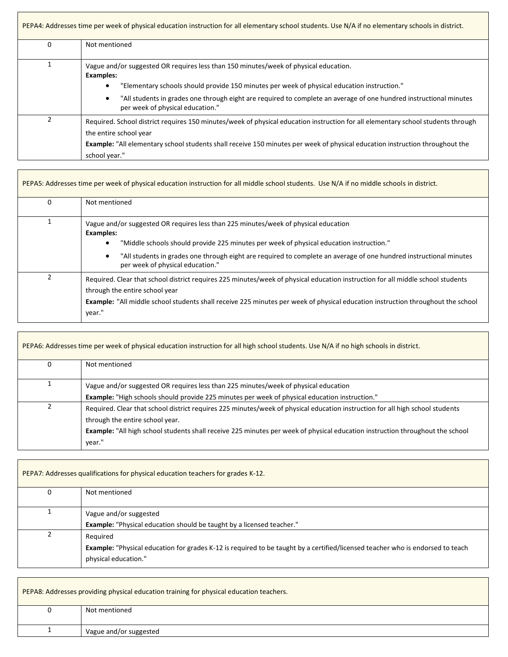| PEPA4: Addresses time per week of physical education instruction for all elementary school students. Use N/A if no elementary schools in district. |                                                                                                                                                                                                                                                                                                                                                                                |
|----------------------------------------------------------------------------------------------------------------------------------------------------|--------------------------------------------------------------------------------------------------------------------------------------------------------------------------------------------------------------------------------------------------------------------------------------------------------------------------------------------------------------------------------|
| 0                                                                                                                                                  | Not mentioned                                                                                                                                                                                                                                                                                                                                                                  |
|                                                                                                                                                    | Vague and/or suggested OR requires less than 150 minutes/week of physical education.<br><b>Examples:</b><br>"Elementary schools should provide 150 minutes per week of physical education instruction."<br>"All students in grades one through eight are required to complete an average of one hundred instructional minutes<br>$\bullet$<br>per week of physical education." |
| $\mathcal{P}$                                                                                                                                      | Required. School district requires 150 minutes/week of physical education instruction for all elementary school students through<br>the entire school year<br><b>Example:</b> "All elementary school students shall receive 150 minutes per week of physical education instruction throughout the<br>school year."                                                             |

 $\overline{\phantom{0}}$ 

 $\overline{\phantom{0}}$ 

| $\Omega$       | Not mentioned                                                                                                                                                                                                                                                                                                         |
|----------------|-----------------------------------------------------------------------------------------------------------------------------------------------------------------------------------------------------------------------------------------------------------------------------------------------------------------------|
| 1              | Vague and/or suggested OR requires less than 225 minutes/week of physical education<br><b>Examples:</b><br>"Middle schools should provide 225 minutes per week of physical education instruction."<br>$\bullet$                                                                                                       |
|                | "All students in grades one through eight are required to complete an average of one hundred instructional minutes<br>$\bullet$<br>per week of physical education."                                                                                                                                                   |
| $\mathfrak{p}$ | Required. Clear that school district requires 225 minutes/week of physical education instruction for all middle school students<br>through the entire school year<br><b>Example:</b> "All middle school students shall receive 225 minutes per week of physical education instruction throughout the school<br>year." |

| PEPA6: Addresses time per week of physical education instruction for all high school students. Use N/A if no high schools in district. |                                                                                                                                                                                                                                                                                                                    |
|----------------------------------------------------------------------------------------------------------------------------------------|--------------------------------------------------------------------------------------------------------------------------------------------------------------------------------------------------------------------------------------------------------------------------------------------------------------------|
| 0                                                                                                                                      | Not mentioned                                                                                                                                                                                                                                                                                                      |
|                                                                                                                                        | Vague and/or suggested OR requires less than 225 minutes/week of physical education<br>Example: "High schools should provide 225 minutes per week of physical education instruction."                                                                                                                              |
|                                                                                                                                        | Required. Clear that school district requires 225 minutes/week of physical education instruction for all high school students<br>through the entire school year.<br><b>Example:</b> "All high school students shall receive 225 minutes per week of physical education instruction throughout the school<br>vear." |

| PEPA7: Addresses qualifications for physical education teachers for grades K-12. |                                                                                                                                                                           |
|----------------------------------------------------------------------------------|---------------------------------------------------------------------------------------------------------------------------------------------------------------------------|
|                                                                                  | Not mentioned                                                                                                                                                             |
|                                                                                  | Vague and/or suggested<br><b>Example:</b> "Physical education should be taught by a licensed teacher."                                                                    |
|                                                                                  | Reguired<br><b>Example:</b> "Physical education for grades K-12 is required to be taught by a certified/licensed teacher who is endorsed to teach<br>physical education." |

| PEPA8: Addresses providing physical education training for physical education teachers. |                        |
|-----------------------------------------------------------------------------------------|------------------------|
|                                                                                         | Not mentioned          |
|                                                                                         |                        |
|                                                                                         | Vague and/or suggested |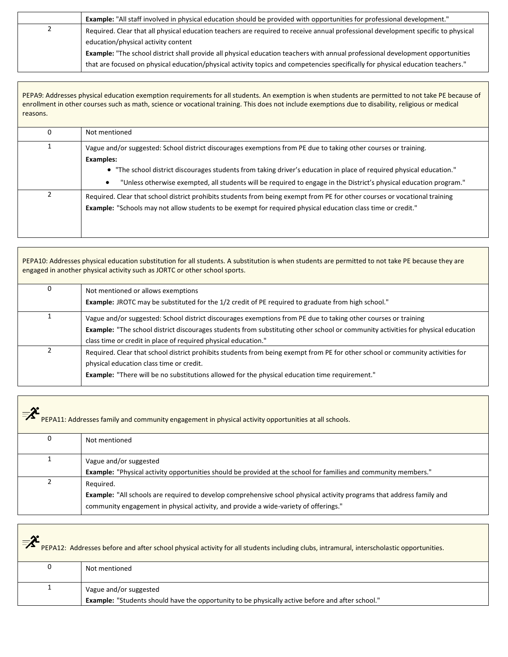|   | <b>Example:</b> "All staff involved in physical education should be provided with opportunities for professional development."    |
|---|-----------------------------------------------------------------------------------------------------------------------------------|
| ▴ | Required. Clear that all physical education teachers are required to receive annual professional development specific to physical |
|   | education/physical activity content                                                                                               |
|   | Example: "The school district shall provide all physical education teachers with annual professional development opportunities    |
|   | that are focused on physical education/physical activity topics and competencies specifically for physical education teachers."   |

PEPA9: Addresses physical education exemption requirements for all students. An exemption is when students are permitted to not take PE because of enrollment in other courses such as math, science or vocational training. This does not include exemptions due to disability, religious or medical reasons.

| 0 | Not mentioned                                                                                                                                                                                                                                                                                                                                                                                  |
|---|------------------------------------------------------------------------------------------------------------------------------------------------------------------------------------------------------------------------------------------------------------------------------------------------------------------------------------------------------------------------------------------------|
|   | Vague and/or suggested: School district discourages exemptions from PE due to taking other courses or training.<br><b>Examples:</b><br>• "The school district discourages students from taking driver's education in place of required physical education."<br>"Unless otherwise exempted, all students will be required to engage in the District's physical education program."<br>$\bullet$ |
|   | Required. Clear that school district prohibits students from being exempt from PE for other courses or vocational training<br><b>Example:</b> "Schools may not allow students to be exempt for required physical education class time or credit."                                                                                                                                              |

PEPA10: Addresses physical education substitution for all students. A substitution is when students are permitted to not take PE because they are engaged in another physical activity such as JORTC or other school sports. 0 Not mentioned or allows exemptions **Example:** JROTC may be substituted for the 1/2 credit of PE required to graduate from high school." 1 Vague and/or suggested: School district discourages exemptions from PE due to taking other courses or training **Example:** "The school district discourages students from substituting other school or community activities for physical education class time or credit in place of required physical education." 2 Required. Clear that school district prohibits students from being exempt from PE for other school or community activities for physical education class time or credit. **Example:** "There will be no substitutions allowed for the physical education time requirement."

| $=\chi$<br>PEPA11: Addresses family and community engagement in physical activity opportunities at all schools. |                                                                                                                                                                                                                                   |  |
|-----------------------------------------------------------------------------------------------------------------|-----------------------------------------------------------------------------------------------------------------------------------------------------------------------------------------------------------------------------------|--|
| 0                                                                                                               | Not mentioned                                                                                                                                                                                                                     |  |
|                                                                                                                 | Vague and/or suggested<br><b>Example:</b> "Physical activity opportunities should be provided at the school for families and community members."                                                                                  |  |
|                                                                                                                 | Required.<br><b>Example:</b> "All schools are required to develop comprehensive school physical activity programs that address family and<br>community engagement in physical activity, and provide a wide-variety of offerings." |  |

| $\equiv$ $\chi$ $\sim$<br>PEPA12: Addresses before and after school physical activity for all students including clubs, intramural, interscholastic opportunities. |                                                                                                                                   |  |
|--------------------------------------------------------------------------------------------------------------------------------------------------------------------|-----------------------------------------------------------------------------------------------------------------------------------|--|
|                                                                                                                                                                    | Not mentioned                                                                                                                     |  |
|                                                                                                                                                                    | Vague and/or suggested<br><b>Example:</b> "Students should have the opportunity to be physically active before and after school." |  |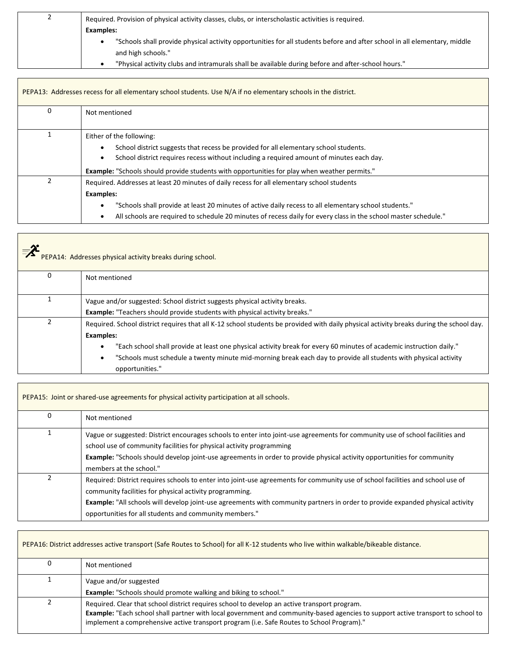| ∼ | Required. Provision of physical activity classes, clubs, or interscholastic activities is required.                       |
|---|---------------------------------------------------------------------------------------------------------------------------|
|   | <b>Examples:</b>                                                                                                          |
|   | "Schools shall provide physical activity opportunities for all students before and after school in all elementary, middle |
|   | and high schools."                                                                                                        |
|   | "Physical activity clubs and intramurals shall be available during before and after-school hours."                        |

| PEPA13: Addresses recess for all elementary school students. Use N/A if no elementary schools in the district. |                                                                                                                                                                                                                                                                                                                                            |
|----------------------------------------------------------------------------------------------------------------|--------------------------------------------------------------------------------------------------------------------------------------------------------------------------------------------------------------------------------------------------------------------------------------------------------------------------------------------|
| 0                                                                                                              | Not mentioned                                                                                                                                                                                                                                                                                                                              |
|                                                                                                                | Either of the following:<br>School district suggests that recess be provided for all elementary school students.<br>٠<br>School district requires recess without including a required amount of minutes each day.<br>$\bullet$<br><b>Example:</b> "Schools should provide students with opportunities for play when weather permits."      |
|                                                                                                                | Required. Addresses at least 20 minutes of daily recess for all elementary school students<br><b>Examples:</b><br>"Schools shall provide at least 20 minutes of active daily recess to all elementary school students."<br>All schools are required to schedule 20 minutes of recess daily for every class in the school master schedule." |

| PEPA14: Addresses physical activity breaks during school. |                                                                                                                                                                                                                                                                                                                                                                                                                            |
|-----------------------------------------------------------|----------------------------------------------------------------------------------------------------------------------------------------------------------------------------------------------------------------------------------------------------------------------------------------------------------------------------------------------------------------------------------------------------------------------------|
| 0                                                         | Not mentioned                                                                                                                                                                                                                                                                                                                                                                                                              |
|                                                           | Vague and/or suggested: School district suggests physical activity breaks.<br><b>Example:</b> "Teachers should provide students with physical activity breaks."                                                                                                                                                                                                                                                            |
| 2                                                         | Required. School district requires that all K-12 school students be provided with daily physical activity breaks during the school day.<br><b>Examples:</b><br>"Each school shall provide at least one physical activity break for every 60 minutes of academic instruction daily."<br>"Schools must schedule a twenty minute mid-morning break each day to provide all students with physical activity<br>opportunities." |

| PEPA15: Joint or shared-use agreements for physical activity participation at all schools. |                                                                                                                                                                                                                                                                                                                                                                                        |
|--------------------------------------------------------------------------------------------|----------------------------------------------------------------------------------------------------------------------------------------------------------------------------------------------------------------------------------------------------------------------------------------------------------------------------------------------------------------------------------------|
|                                                                                            | Not mentioned                                                                                                                                                                                                                                                                                                                                                                          |
|                                                                                            | Vague or suggested: District encourages schools to enter into joint-use agreements for community use of school facilities and<br>school use of community facilities for physical activity programming<br>Example: "Schools should develop joint-use agreements in order to provide physical activity opportunities for community<br>members at the school."                            |
|                                                                                            | Required: District requires schools to enter into joint-use agreements for community use of school facilities and school use of<br>community facilities for physical activity programming.<br>Example: "All schools will develop joint-use agreements with community partners in order to provide expanded physical activity<br>opportunities for all students and community members." |

Г

| PEPA16: District addresses active transport (Safe Routes to School) for all K-12 students who live within walkable/bikeable distance. |                                                                                                                                                                                                                                                                                                                              |
|---------------------------------------------------------------------------------------------------------------------------------------|------------------------------------------------------------------------------------------------------------------------------------------------------------------------------------------------------------------------------------------------------------------------------------------------------------------------------|
| 0                                                                                                                                     | Not mentioned                                                                                                                                                                                                                                                                                                                |
|                                                                                                                                       | Vague and/or suggested<br><b>Example:</b> "Schools should promote walking and biking to school."                                                                                                                                                                                                                             |
|                                                                                                                                       | Required. Clear that school district requires school to develop an active transport program.<br>Example: "Each school shall partner with local government and community-based agencies to support active transport to school to<br>implement a comprehensive active transport program (i.e. Safe Routes to School Program)." |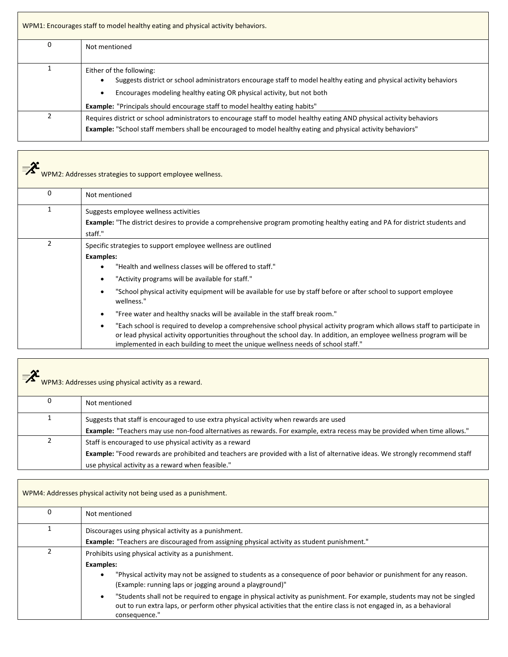| WPM1: Encourages staff to model healthy eating and physical activity behaviors. |                                                                                                                                                                                                                                                                                                                     |  |
|---------------------------------------------------------------------------------|---------------------------------------------------------------------------------------------------------------------------------------------------------------------------------------------------------------------------------------------------------------------------------------------------------------------|--|
| 0                                                                               | Not mentioned                                                                                                                                                                                                                                                                                                       |  |
|                                                                                 | Either of the following:<br>Suggests district or school administrators encourage staff to model healthy eating and physical activity behaviors<br>Encourages modeling healthy eating OR physical activity, but not both<br>$\bullet$<br>Example: "Principals should encourage staff to model healthy eating habits" |  |
|                                                                                 | Requires district or school administrators to encourage staff to model healthy eating AND physical activity behaviors<br><b>Example:</b> "School staff members shall be encouraged to model healthy eating and physical activity behaviors"                                                                         |  |

| $\equiv$ $\lambda$ | WPM2: Addresses strategies to support employee wellness.                                                                                                                                                                                                                                                                                                                                                                                                                                                                                                                                                                                                                                                                                                                                          |
|--------------------|---------------------------------------------------------------------------------------------------------------------------------------------------------------------------------------------------------------------------------------------------------------------------------------------------------------------------------------------------------------------------------------------------------------------------------------------------------------------------------------------------------------------------------------------------------------------------------------------------------------------------------------------------------------------------------------------------------------------------------------------------------------------------------------------------|
| 0                  | Not mentioned                                                                                                                                                                                                                                                                                                                                                                                                                                                                                                                                                                                                                                                                                                                                                                                     |
|                    | Suggests employee wellness activities<br><b>Example:</b> "The district desires to provide a comprehensive program promoting healthy eating and PA for district students and<br>staff."                                                                                                                                                                                                                                                                                                                                                                                                                                                                                                                                                                                                            |
| 2                  | Specific strategies to support employee wellness are outlined<br><b>Examples:</b><br>"Health and wellness classes will be offered to staff."<br>"Activity programs will be available for staff."<br>"School physical activity equipment will be available for use by staff before or after school to support employee<br>$\bullet$<br>wellness."<br>"Free water and healthy snacks will be available in the staff break room."<br>$\bullet$<br>"Each school is required to develop a comprehensive school physical activity program which allows staff to participate in<br>$\bullet$<br>or lead physical activity opportunities throughout the school day. In addition, an employee wellness program will be<br>implemented in each building to meet the unique wellness needs of school staff." |

| $=\chi$<br>WPM3: Addresses using physical activity as a reward. |                                                                                                                                                                                                                                                       |
|-----------------------------------------------------------------|-------------------------------------------------------------------------------------------------------------------------------------------------------------------------------------------------------------------------------------------------------|
|                                                                 | Not mentioned                                                                                                                                                                                                                                         |
|                                                                 | Suggests that staff is encouraged to use extra physical activity when rewards are used<br>Example: "Teachers may use non-food alternatives as rewards. For example, extra recess may be provided when time allows."                                   |
|                                                                 | Staff is encouraged to use physical activity as a reward<br><b>Example:</b> "Food rewards are prohibited and teachers are provided with a list of alternative ideas. We strongly recommend staff<br>use physical activity as a reward when feasible." |

Г

٦

| WPM4: Addresses physical activity not being used as a punishment. |                                                                                                                                                                                                                                                                              |
|-------------------------------------------------------------------|------------------------------------------------------------------------------------------------------------------------------------------------------------------------------------------------------------------------------------------------------------------------------|
| 0                                                                 | Not mentioned                                                                                                                                                                                                                                                                |
|                                                                   | Discourages using physical activity as a punishment.                                                                                                                                                                                                                         |
|                                                                   | <b>Example:</b> "Teachers are discouraged from assigning physical activity as student punishment."                                                                                                                                                                           |
|                                                                   | Prohibits using physical activity as a punishment.                                                                                                                                                                                                                           |
|                                                                   | <b>Examples:</b>                                                                                                                                                                                                                                                             |
|                                                                   | "Physical activity may not be assigned to students as a consequence of poor behavior or punishment for any reason.<br>$\bullet$<br>(Example: running laps or jogging around a playground)"                                                                                   |
|                                                                   | "Students shall not be required to engage in physical activity as punishment. For example, students may not be singled<br>$\bullet$<br>out to run extra laps, or perform other physical activities that the entire class is not engaged in, as a behavioral<br>consequence." |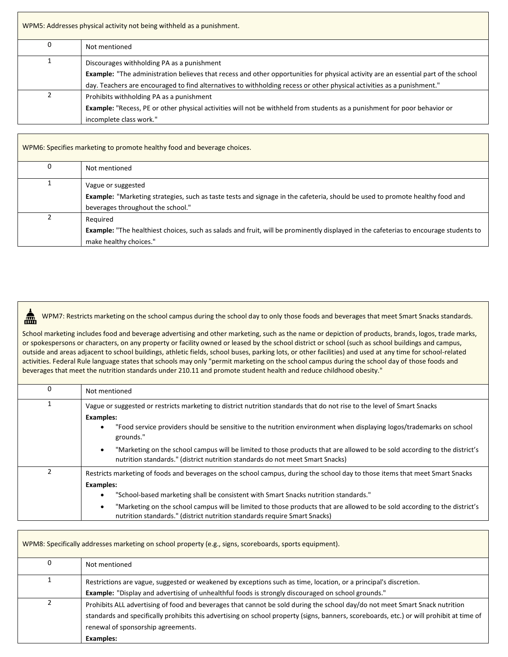| WPM5: Addresses physical activity not being withheld as a punishment. |                                                                                                                                                                                          |
|-----------------------------------------------------------------------|------------------------------------------------------------------------------------------------------------------------------------------------------------------------------------------|
|                                                                       | Not mentioned                                                                                                                                                                            |
|                                                                       | Discourages withholding PA as a punishment<br><b>Example:</b> "The administration believes that recess and other opportunities for physical activity are an essential part of the school |
|                                                                       | day. Teachers are encouraged to find alternatives to withholding recess or other physical activities as a punishment."                                                                   |
|                                                                       | Prohibits withholding PA as a punishment                                                                                                                                                 |
|                                                                       | <b>Example:</b> "Recess, PE or other physical activities will not be withheld from students as a punishment for poor behavior or                                                         |
|                                                                       | incomplete class work."                                                                                                                                                                  |

| WPM6: Specifies marketing to promote healthy food and beverage choices. |                                                                                                                                                                                                |
|-------------------------------------------------------------------------|------------------------------------------------------------------------------------------------------------------------------------------------------------------------------------------------|
|                                                                         | Not mentioned                                                                                                                                                                                  |
|                                                                         | Vague or suggested<br><b>Example:</b> "Marketing strategies, such as taste tests and signage in the cafeteria, should be used to promote healthy food and<br>beverages throughout the school." |
|                                                                         | Required<br>Example: "The healthiest choices, such as salads and fruit, will be prominently displayed in the cafeterias to encourage students to<br>make healthy choices."                     |

WPM7: Restricts marketing on the school campus during the school day to only those foods and beverages that meet Smart Snacks standards. £

School marketing includes food and beverage advertising and other marketing, such as the name or depiction of products, brands, logos, trade marks, or spokespersons or characters, on any property or facility owned or leased by the school district or school (such as school buildings and campus, outside and areas adjacent to school buildings, athletic fields, school buses, parking lots, or other facilities) and used at any time for school-related activities. Federal Rule language states that schools may only "permit marketing on the school campus during the school day of those foods and beverages that meet the nutrition standards under 210.11 and promote student health and reduce childhood obesity."

| 0              | Not mentioned                                                                                                                                                                                                           |
|----------------|-------------------------------------------------------------------------------------------------------------------------------------------------------------------------------------------------------------------------|
|                | Vague or suggested or restricts marketing to district nutrition standards that do not rise to the level of Smart Snacks                                                                                                 |
|                | <b>Examples:</b>                                                                                                                                                                                                        |
|                | "Food service providers should be sensitive to the nutrition environment when displaying logos/trademarks on school<br>grounds."                                                                                        |
|                | "Marketing on the school campus will be limited to those products that are allowed to be sold according to the district's<br>$\bullet$<br>nutrition standards." (district nutrition standards do not meet Smart Snacks) |
| $\overline{2}$ | Restricts marketing of foods and beverages on the school campus, during the school day to those items that meet Smart Snacks                                                                                            |
|                | <b>Examples:</b>                                                                                                                                                                                                        |
|                | "School-based marketing shall be consistent with Smart Snacks nutrition standards."                                                                                                                                     |
|                | "Marketing on the school campus will be limited to those products that are allowed to be sold according to the district's<br>$\bullet$<br>nutrition standards." (district nutrition standards require Smart Snacks)     |

| WPM8: Specifically addresses marketing on school property (e.g., signs, scoreboards, sports equipment). |                                                                                                                                                                                                                                                                                                                            |
|---------------------------------------------------------------------------------------------------------|----------------------------------------------------------------------------------------------------------------------------------------------------------------------------------------------------------------------------------------------------------------------------------------------------------------------------|
| 0                                                                                                       | Not mentioned                                                                                                                                                                                                                                                                                                              |
|                                                                                                         | Restrictions are vague, suggested or weakened by exceptions such as time, location, or a principal's discretion.<br><b>Example:</b> "Display and advertising of unhealthful foods is strongly discouraged on school grounds."                                                                                              |
|                                                                                                         | Prohibits ALL advertising of food and beverages that cannot be sold during the school day/do not meet Smart Snack nutrition<br>standards and specifically prohibits this advertising on school property (signs, banners, scoreboards, etc.) or will prohibit at time of<br>renewal of sponsorship agreements.<br>Examples: |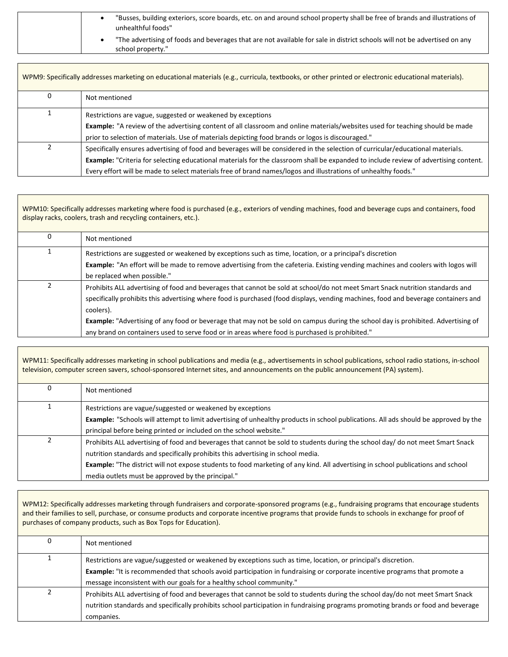| "Busses, building exteriors, score boards, etc. on and around school property shall be free of brands and illustrations of<br>unhealthful foods" |
|--------------------------------------------------------------------------------------------------------------------------------------------------|
| "The advertising of foods and beverages that are not available for sale in district schools will not be advertised on any<br>school property."   |

| WPM9: Specifically addresses marketing on educational materials (e.g., curricula, textbooks, or other printed or electronic educational materials). |                                                                                                                                                                                                                                                                                                                                                                                                  |
|-----------------------------------------------------------------------------------------------------------------------------------------------------|--------------------------------------------------------------------------------------------------------------------------------------------------------------------------------------------------------------------------------------------------------------------------------------------------------------------------------------------------------------------------------------------------|
| 0                                                                                                                                                   | Not mentioned                                                                                                                                                                                                                                                                                                                                                                                    |
|                                                                                                                                                     | Restrictions are vague, suggested or weakened by exceptions<br><b>Example:</b> "A review of the advertising content of all classroom and online materials/websites used for teaching should be made<br>prior to selection of materials. Use of materials depicting food brands or logos is discouraged."                                                                                         |
| 2                                                                                                                                                   | Specifically ensures advertising of food and beverages will be considered in the selection of curricular/educational materials.<br><b>Example:</b> "Criteria for selecting educational materials for the classroom shall be expanded to include review of advertising content.<br>Every effort will be made to select materials free of brand names/logos and illustrations of unhealthy foods." |

WPM10: Specifically addresses marketing where food is purchased (e.g., exteriors of vending machines, food and beverage cups and containers, food display racks, coolers, trash and recycling containers, etc.).

| Not mentioned                                                                                                                                                                                                                                                                    |
|----------------------------------------------------------------------------------------------------------------------------------------------------------------------------------------------------------------------------------------------------------------------------------|
| Restrictions are suggested or weakened by exceptions such as time, location, or a principal's discretion<br><b>Example:</b> "An effort will be made to remove advertising from the cafeteria. Existing vending machines and coolers with logos will                              |
| be replaced when possible."                                                                                                                                                                                                                                                      |
| Prohibits ALL advertising of food and beverages that cannot be sold at school/do not meet Smart Snack nutrition standards and<br>specifically prohibits this advertising where food is purchased (food displays, vending machines, food and beverage containers and<br>coolers). |
| <b>Example:</b> "Advertising of any food or beverage that may not be sold on campus during the school day is prohibited. Advertising of                                                                                                                                          |
| any brand on containers used to serve food or in areas where food is purchased is prohibited."                                                                                                                                                                                   |

WPM11: Specifically addresses marketing in school publications and media (e.g., advertisements in school publications, school radio stations, in-school television, computer screen savers, school-sponsored Internet sites, and announcements on the public announcement (PA) system). 0 Not mentioned 1 Restrictions are vague/suggested or weakened by exceptions **Example:** "Schools will attempt to limit advertising of unhealthy products in school publications. All ads should be approved by the principal before being printed or included on the school website." 2 Prohibits ALL advertising of food and beverages that cannot be sold to students during the school day/ do not meet Smart Snack nutrition standards and specifically prohibits this advertising in school media. **Example:** "The district will not expose students to food marketing of any kind. All advertising in school publications and school

WPM12: Specifically addresses marketing through fundraisers and corporate-sponsored programs (e.g., fundraising programs that encourage students and their families to sell, purchase, or consume products and corporate incentive programs that provide funds to schools in exchange for proof of purchases of company products, such as Box Tops for Education).

media outlets must be approved by the principal."

| Not mentioned                                                                                                                     |
|-----------------------------------------------------------------------------------------------------------------------------------|
| Restrictions are vague/suggested or weakened by exceptions such as time, location, or principal's discretion.                     |
| Example: "It is recommended that schools avoid participation in fundraising or corporate incentive programs that promote a        |
| message inconsistent with our goals for a healthy school community."                                                              |
| Prohibits ALL advertising of food and beverages that cannot be sold to students during the school day/do not meet Smart Snack     |
| nutrition standards and specifically prohibits school participation in fundraising programs promoting brands or food and beverage |
| companies.                                                                                                                        |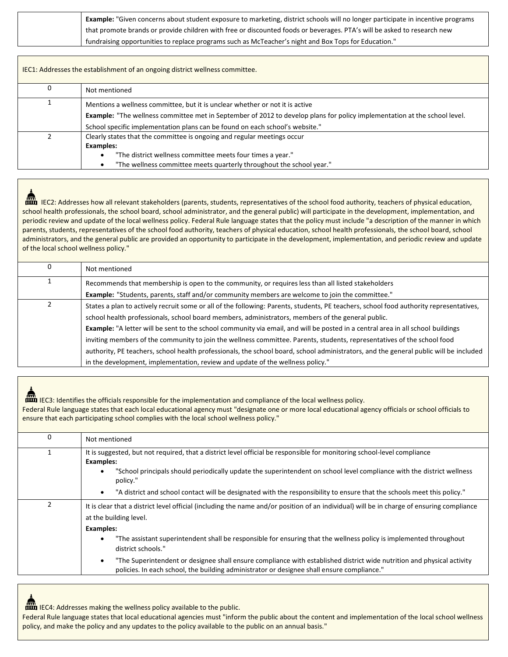| <b>Example:</b> "Given concerns about student exposure to marketing, district schools will no longer participate in incentive programs |
|----------------------------------------------------------------------------------------------------------------------------------------|
| that promote brands or provide children with free or discounted foods or beverages. PTA's will be asked to research new                |
| fundraising opportunities to replace programs such as McTeacher's night and Box Tops for Education."                                   |

| IEC1: Addresses the establishment of an ongoing district wellness committee. |                                                                                                                                  |
|------------------------------------------------------------------------------|----------------------------------------------------------------------------------------------------------------------------------|
|                                                                              | Not mentioned                                                                                                                    |
|                                                                              | Mentions a wellness committee, but it is unclear whether or not it is active                                                     |
|                                                                              | <b>Example:</b> "The wellness committee met in September of 2012 to develop plans for policy implementation at the school level. |
|                                                                              | School specific implementation plans can be found on each school's website."                                                     |
|                                                                              | Clearly states that the committee is ongoing and regular meetings occur                                                          |
|                                                                              | Examples:                                                                                                                        |
|                                                                              | "The district wellness committee meets four times a year."                                                                       |
|                                                                              | "The wellness committee meets quarterly throughout the school year."                                                             |

**IFF** IEC2: Addresses how all relevant stakeholders (parents, students, representatives of the school food authority, teachers of physical education, school health professionals, the school board, school administrator, and the general public) will participate in the development, implementation, and periodic review and update of the local wellness policy. Federal Rule language states that the policy must include "a description of the manner in which parents, students, representatives of the school food authority, teachers of physical education, school health professionals, the school board, school administrators, and the general public are provided an opportunity to participate in the development, implementation, and periodic review and update of the local school wellness policy."

| 0 | Not mentioned                                                                                                                          |
|---|----------------------------------------------------------------------------------------------------------------------------------------|
|   | Recommends that membership is open to the community, or requires less than all listed stakeholders                                     |
|   | Example: "Students, parents, staff and/or community members are welcome to join the committee."                                        |
|   | States a plan to actively recruit some or all of the following: Parents, students, PE teachers, school food authority representatives, |
|   | school health professionals, school board members, administrators, members of the general public.                                      |
|   | Example: "A letter will be sent to the school community via email, and will be posted in a central area in all school buildings        |
|   | inviting members of the community to join the wellness committee. Parents, students, representatives of the school food                |
|   | authority, PE teachers, school health professionals, the school board, school administrators, and the general public will be included  |
|   | in the development, implementation, review and update of the wellness policy."                                                         |

**IFF** IEC3: Identifies the officials responsible for the implementation and compliance of the local wellness policy.

Federal Rule language states that each local educational agency must "designate one or more local educational agency officials or school officials to ensure that each participating school complies with the local school wellness policy."

| 0 | Not mentioned                                                                                                                                                                                                                                                                     |
|---|-----------------------------------------------------------------------------------------------------------------------------------------------------------------------------------------------------------------------------------------------------------------------------------|
|   | It is suggested, but not required, that a district level official be responsible for monitoring school-level compliance<br><b>Examples:</b><br>"School principals should periodically update the superintendent on school level compliance with the district wellness<br>policy." |
|   | "A district and school contact will be designated with the responsibility to ensure that the schools meet this policy."<br>$\bullet$                                                                                                                                              |
|   | It is clear that a district level official (including the name and/or position of an individual) will be in charge of ensuring compliance<br>at the building level.                                                                                                               |
|   | <b>Examples:</b><br>"The assistant superintendent shall be responsible for ensuring that the wellness policy is implemented throughout<br>$\bullet$<br>district schools."                                                                                                         |
|   | "The Superintendent or designee shall ensure compliance with established district wide nutrition and physical activity<br>$\bullet$<br>policies. In each school, the building administrator or designee shall ensure compliance."                                                 |

**IFF ADDEL 15 ADDELS ASSESS MAKING the wellness policy available to the public.** 

Federal Rule language states that local educational agencies must "inform the public about the content and implementation of the local school wellness policy, and make the policy and any updates to the policy available to the public on an annual basis."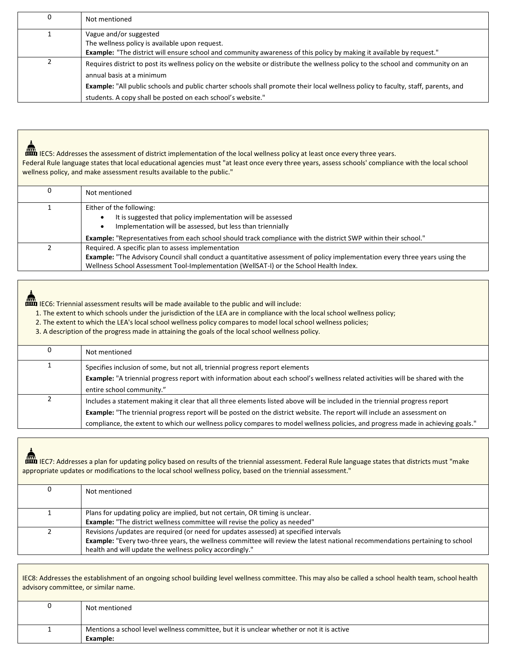| 0 | Not mentioned                                                                                                                            |
|---|------------------------------------------------------------------------------------------------------------------------------------------|
|   | Vague and/or suggested                                                                                                                   |
|   | The wellness policy is available upon request.                                                                                           |
|   | <b>Example:</b> "The district will ensure school and community awareness of this policy by making it available by request."              |
|   | Requires district to post its wellness policy on the website or distribute the wellness policy to the school and community on an         |
|   | annual basis at a minimum                                                                                                                |
|   | <b>Example:</b> "All public schools and public charter schools shall promote their local wellness policy to faculty, staff, parents, and |
|   | students. A copy shall be posted on each school's website."                                                                              |

IFC5: Addresses the assessment of district implementation of the local wellness policy at least once every three years. Federal Rule language states that local educational agencies must "at least once every three years, assess schools' compliance with the local school wellness policy, and make assessment results available to the public."

| Not mentioned                                                                                                                                                                                                                                                                      |
|------------------------------------------------------------------------------------------------------------------------------------------------------------------------------------------------------------------------------------------------------------------------------------|
| Either of the following:<br>It is suggested that policy implementation will be assessed<br>Implementation will be assessed, but less than triennially                                                                                                                              |
| <b>Example:</b> "Representatives from each school should track compliance with the district SWP within their school."                                                                                                                                                              |
| Required. A specific plan to assess implementation<br><b>Example:</b> "The Advisory Council shall conduct a quantitative assessment of policy implementation every three years using the<br>Wellness School Assessment Tool-Implementation (WellSAT-I) or the School Health Index. |

**IFF IECO:** Triennial assessment results will be made available to the public and will include:

1. The extent to which schools under the jurisdiction of the LEA are in compliance with the local school wellness policy;

2. The extent to which the LEA's local school wellness policy compares to model local school wellness policies;

3. A description of the progress made in attaining the goals of the local school wellness policy.

| Not mentioned                                                                                                                         |
|---------------------------------------------------------------------------------------------------------------------------------------|
| Specifies inclusion of some, but not all, triennial progress report elements                                                          |
| <b>Example:</b> "A triennial progress report with information about each school's wellness related activities will be shared with the |
| entire school community."                                                                                                             |
| Includes a statement making it clear that all three elements listed above will be included in the triennial progress report           |
| <b>Example:</b> "The triennial progress report will be posted on the district website. The report will include an assessment on       |
| compliance, the extent to which our wellness policy compares to model wellness policies, and progress made in achieving goals."       |

**IFC** IEC7: Addresses a plan for updating policy based on results of the triennial assessment. Federal Rule language states that districts must "make appropriate updates or modifications to the local school wellness policy, based on the triennial assessment."

| 0 | Not mentioned                                                                                                                                                                                                                                                                            |
|---|------------------------------------------------------------------------------------------------------------------------------------------------------------------------------------------------------------------------------------------------------------------------------------------|
|   | Plans for updating policy are implied, but not certain, OR timing is unclear.<br><b>Example:</b> "The district wellness committee will revise the policy as needed"                                                                                                                      |
|   | Revisions /updates are required (or need for updates assessed) at specified intervals<br><b>Example:</b> "Every two-three years, the wellness committee will review the latest national recommendations pertaining to school<br>health and will update the wellness policy accordingly." |

IEC8: Addresses the establishment of an ongoing school building level wellness committee. This may also be called a school health team, school health advisory committee, or similar name.

| Not mentioned                                                                             |
|-------------------------------------------------------------------------------------------|
| Mentions a school level wellness committee, but it is unclear whether or not it is active |
| Example:                                                                                  |